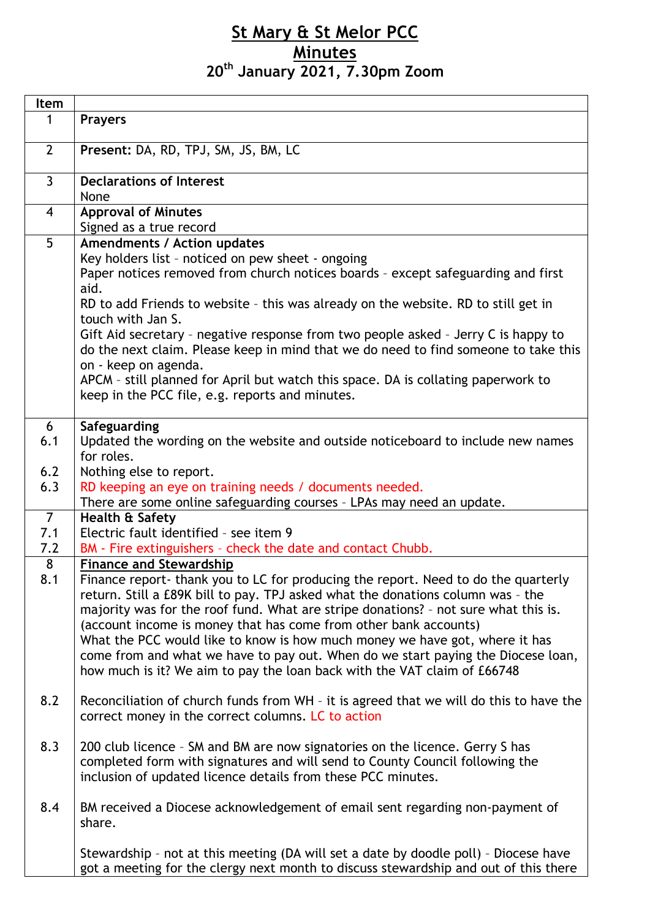## **St Mary & St Melor PCC Minutes 20th January 2021, 7.30pm Zoom**

| Item           |                                                                                                                                                                                                                                                                                                                                                                                                                                                                                                                                                                                 |
|----------------|---------------------------------------------------------------------------------------------------------------------------------------------------------------------------------------------------------------------------------------------------------------------------------------------------------------------------------------------------------------------------------------------------------------------------------------------------------------------------------------------------------------------------------------------------------------------------------|
| 1              | <b>Prayers</b>                                                                                                                                                                                                                                                                                                                                                                                                                                                                                                                                                                  |
|                |                                                                                                                                                                                                                                                                                                                                                                                                                                                                                                                                                                                 |
| $\overline{2}$ | Present: DA, RD, TPJ, SM, JS, BM, LC                                                                                                                                                                                                                                                                                                                                                                                                                                                                                                                                            |
| $\overline{3}$ | <b>Declarations of Interest</b>                                                                                                                                                                                                                                                                                                                                                                                                                                                                                                                                                 |
|                | None                                                                                                                                                                                                                                                                                                                                                                                                                                                                                                                                                                            |
| $\overline{4}$ | <b>Approval of Minutes</b>                                                                                                                                                                                                                                                                                                                                                                                                                                                                                                                                                      |
|                | Signed as a true record                                                                                                                                                                                                                                                                                                                                                                                                                                                                                                                                                         |
| $\overline{5}$ | <b>Amendments / Action updates</b><br>Key holders list - noticed on pew sheet - ongoing<br>Paper notices removed from church notices boards - except safeguarding and first<br>aid.                                                                                                                                                                                                                                                                                                                                                                                             |
|                | RD to add Friends to website - this was already on the website. RD to still get in<br>touch with Jan S.                                                                                                                                                                                                                                                                                                                                                                                                                                                                         |
|                | Gift Aid secretary - negative response from two people asked - Jerry C is happy to<br>do the next claim. Please keep in mind that we do need to find someone to take this<br>on - keep on agenda.                                                                                                                                                                                                                                                                                                                                                                               |
|                | APCM - still planned for April but watch this space. DA is collating paperwork to<br>keep in the PCC file, e.g. reports and minutes.                                                                                                                                                                                                                                                                                                                                                                                                                                            |
| 6              | Safeguarding                                                                                                                                                                                                                                                                                                                                                                                                                                                                                                                                                                    |
| 6.1            | Updated the wording on the website and outside noticeboard to include new names<br>for roles.                                                                                                                                                                                                                                                                                                                                                                                                                                                                                   |
| 6.2            | Nothing else to report.                                                                                                                                                                                                                                                                                                                                                                                                                                                                                                                                                         |
| 6.3            | RD keeping an eye on training needs / documents needed.                                                                                                                                                                                                                                                                                                                                                                                                                                                                                                                         |
| $\overline{7}$ | There are some online safeguarding courses - LPAs may need an update.<br>Health & Safety                                                                                                                                                                                                                                                                                                                                                                                                                                                                                        |
| 7.1            | Electric fault identified - see item 9                                                                                                                                                                                                                                                                                                                                                                                                                                                                                                                                          |
| 7.2            | BM - Fire extinguishers - check the date and contact Chubb.                                                                                                                                                                                                                                                                                                                                                                                                                                                                                                                     |
| 8              | <b>Finance and Stewardship</b>                                                                                                                                                                                                                                                                                                                                                                                                                                                                                                                                                  |
| 8.1            | Finance report- thank you to LC for producing the report. Need to do the quarterly<br>return. Still a £89K bill to pay. TPJ asked what the donations column was - the<br>majority was for the roof fund. What are stripe donations? - not sure what this is.<br>(account income is money that has come from other bank accounts)<br>What the PCC would like to know is how much money we have got, where it has<br>come from and what we have to pay out. When do we start paying the Diocese loan,<br>how much is it? We aim to pay the loan back with the VAT claim of £66748 |
| 8.2            | Reconciliation of church funds from WH - it is agreed that we will do this to have the<br>correct money in the correct columns. LC to action                                                                                                                                                                                                                                                                                                                                                                                                                                    |
| 8.3            | 200 club licence - SM and BM are now signatories on the licence. Gerry S has<br>completed form with signatures and will send to County Council following the<br>inclusion of updated licence details from these PCC minutes.                                                                                                                                                                                                                                                                                                                                                    |
| 8.4            | BM received a Diocese acknowledgement of email sent regarding non-payment of<br>share.                                                                                                                                                                                                                                                                                                                                                                                                                                                                                          |
|                | Stewardship - not at this meeting (DA will set a date by doodle poll) - Diocese have<br>got a meeting for the clergy next month to discuss stewardship and out of this there                                                                                                                                                                                                                                                                                                                                                                                                    |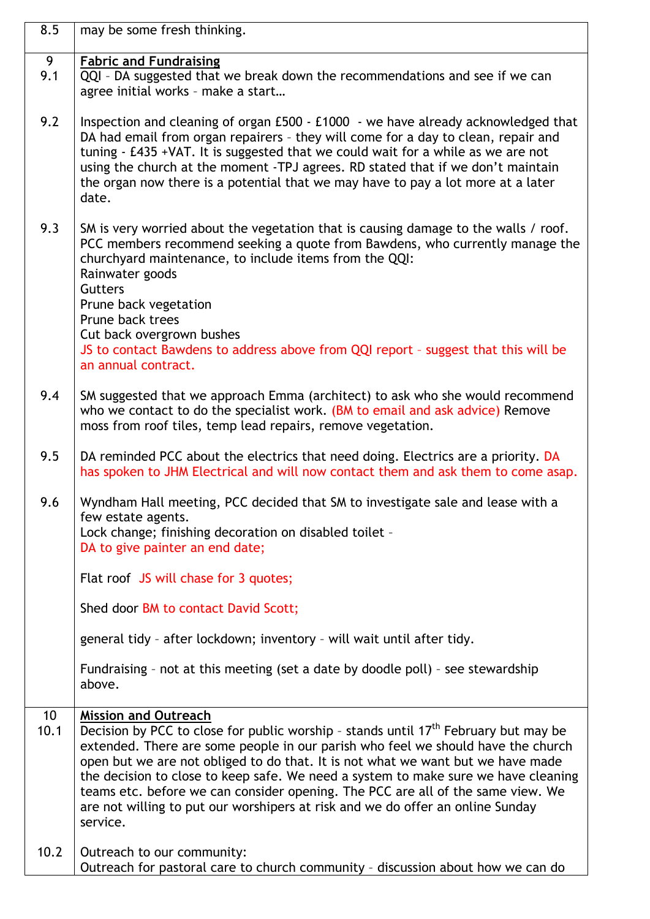| 8.5                     | may be some fresh thinking.                                                                                                                                                                                                                                                                                                                                                                                                                                                                                                                                                  |
|-------------------------|------------------------------------------------------------------------------------------------------------------------------------------------------------------------------------------------------------------------------------------------------------------------------------------------------------------------------------------------------------------------------------------------------------------------------------------------------------------------------------------------------------------------------------------------------------------------------|
| 9<br>9.1                | <b>Fabric and Fundraising</b><br>QQI - DA suggested that we break down the recommendations and see if we can<br>agree initial works - make a start                                                                                                                                                                                                                                                                                                                                                                                                                           |
| 9.2                     | Inspection and cleaning of organ £500 - £1000 - we have already acknowledged that<br>DA had email from organ repairers - they will come for a day to clean, repair and<br>tuning - £435 +VAT. It is suggested that we could wait for a while as we are not<br>using the church at the moment -TPJ agrees. RD stated that if we don't maintain<br>the organ now there is a potential that we may have to pay a lot more at a later<br>date.                                                                                                                                   |
| 9.3                     | SM is very worried about the vegetation that is causing damage to the walls / roof.<br>PCC members recommend seeking a quote from Bawdens, who currently manage the<br>churchyard maintenance, to include items from the QQI:<br>Rainwater goods<br><b>Gutters</b><br>Prune back vegetation<br>Prune back trees<br>Cut back overgrown bushes<br>JS to contact Bawdens to address above from QQI report - suggest that this will be<br>an annual contract.                                                                                                                    |
| 9.4                     | SM suggested that we approach Emma (architect) to ask who she would recommend<br>who we contact to do the specialist work. (BM to email and ask advice) Remove<br>moss from roof tiles, temp lead repairs, remove vegetation.                                                                                                                                                                                                                                                                                                                                                |
| 9.5                     | DA reminded PCC about the electrics that need doing. Electrics are a priority. DA<br>has spoken to JHM Electrical and will now contact them and ask them to come asap.                                                                                                                                                                                                                                                                                                                                                                                                       |
| 9.6                     | Wyndham Hall meeting, PCC decided that SM to investigate sale and lease with a<br>few estate agents.<br>Lock change; finishing decoration on disabled toilet -<br>DA to give painter an end date;                                                                                                                                                                                                                                                                                                                                                                            |
|                         | Flat roof JS will chase for 3 quotes;                                                                                                                                                                                                                                                                                                                                                                                                                                                                                                                                        |
|                         | Shed door BM to contact David Scott;                                                                                                                                                                                                                                                                                                                                                                                                                                                                                                                                         |
|                         | general tidy - after lockdown; inventory - will wait until after tidy.                                                                                                                                                                                                                                                                                                                                                                                                                                                                                                       |
|                         | Fundraising - not at this meeting (set a date by doodle poll) - see stewardship<br>above.                                                                                                                                                                                                                                                                                                                                                                                                                                                                                    |
| 10 <sup>°</sup><br>10.1 | <b>Mission and Outreach</b><br>Decision by PCC to close for public worship - stands until 17 <sup>th</sup> February but may be<br>extended. There are some people in our parish who feel we should have the church<br>open but we are not obliged to do that. It is not what we want but we have made<br>the decision to close to keep safe. We need a system to make sure we have cleaning<br>teams etc. before we can consider opening. The PCC are all of the same view. We<br>are not willing to put our worshipers at risk and we do offer an online Sunday<br>service. |
| 10.2                    | Outreach to our community:<br>Outreach for pastoral care to church community - discussion about how we can do                                                                                                                                                                                                                                                                                                                                                                                                                                                                |